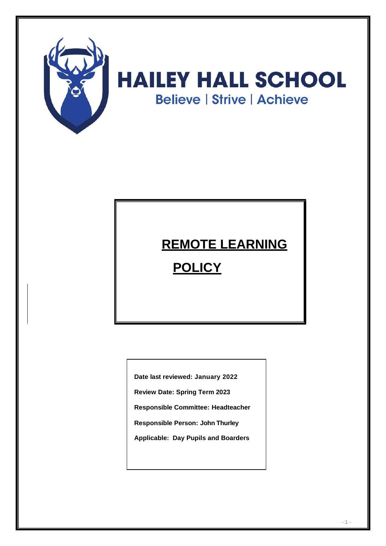

# **REMOTE LEARNING**

## **POLICY**

**Date last reviewed: January 2022**

**Review Date: Spring Term 2023**

**Responsible Committee: Headteacher**

**Responsible Person: John Thurley**

**Applicable: Day Pupils and Boarders**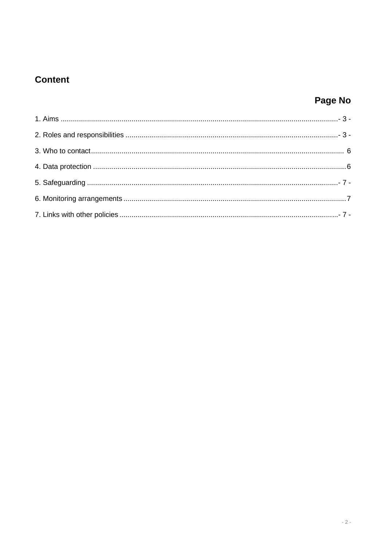## **Content**

## Page No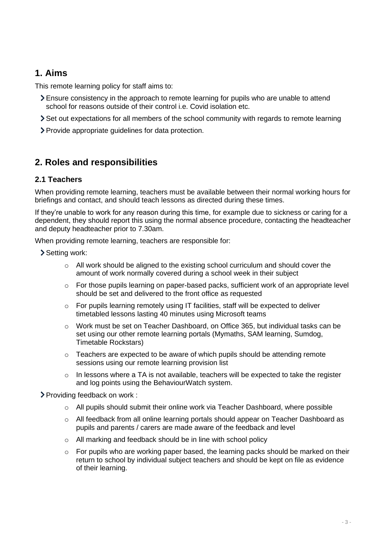### <span id="page-2-0"></span>**1. Aims**

This remote learning policy for staff aims to:

- Ensure consistency in the approach to remote learning for pupils who are unable to attend school for reasons outside of their control i.e. Covid isolation etc.
- Set out expectations for all members of the school community with regards to remote learning
- Provide appropriate guidelines for data protection.

## <span id="page-2-1"></span>**2. Roles and responsibilities**

#### **2.1 Teachers**

When providing remote learning, teachers must be available between their normal working hours for briefings and contact, and should teach lessons as directed during these times.

If they're unable to work for any reason during this time, for example due to sickness or caring for a dependent, they should report this using the normal absence procedure, contacting the headteacher and deputy headteacher prior to 7.30am.

When providing remote learning, teachers are responsible for:

Setting work:

- o All work should be aligned to the existing school curriculum and should cover the amount of work normally covered during a school week in their subject
- $\circ$  For those pupils learning on paper-based packs, sufficient work of an appropriate level should be set and delivered to the front office as requested
- $\circ$  For pupils learning remotely using IT facilities, staff will be expected to deliver timetabled lessons lasting 40 minutes using Microsoft teams
- $\circ$  Work must be set on Teacher Dashboard, on Office 365, but individual tasks can be set using our other remote learning portals (Mymaths, SAM learning, Sumdog, Timetable Rockstars)
- $\circ$  Teachers are expected to be aware of which pupils should be attending remote sessions using our remote learning provision list
- $\circ$  In lessons where a TA is not available, teachers will be expected to take the register and log points using the BehaviourWatch system.

Providing feedback on work :

- o All pupils should submit their online work via Teacher Dashboard, where possible
- o All feedback from all online learning portals should appear on Teacher Dashboard as pupils and parents / carers are made aware of the feedback and level
- o All marking and feedback should be in line with school policy
- o For pupils who are working paper based, the learning packs should be marked on their return to school by individual subject teachers and should be kept on file as evidence of their learning.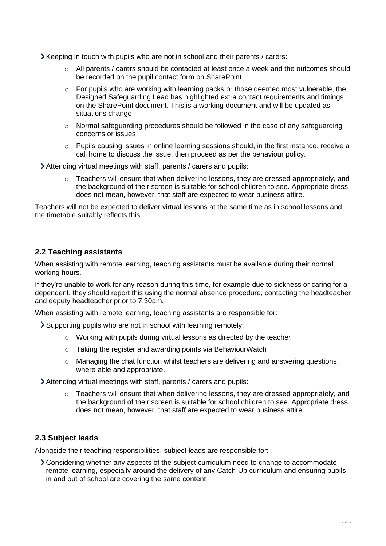- Keeping in touch with pupils who are not in school and their parents / carers:
	- $\circ$  All parents / carers should be contacted at least once a week and the outcomes should be recorded on the pupil contact form on SharePoint
	- $\circ$  For pupils who are working with learning packs or those deemed most vulnerable, the Designed Safeguarding Lead has highlighted extra contact requirements and timings on the SharePoint document. This is a working document and will be updated as situations change
	- $\circ$  Normal safeguarding procedures should be followed in the case of any safeguarding concerns or issues
	- $\circ$  Pupils causing issues in online learning sessions should, in the first instance, receive a call home to discuss the issue, then proceed as per the behaviour policy.
- Attending virtual meetings with staff, parents / carers and pupils:
	- $\circ$  Teachers will ensure that when delivering lessons, they are dressed appropriately, and the background of their screen is suitable for school children to see. Appropriate dress does not mean, however, that staff are expected to wear business attire.

Teachers will not be expected to deliver virtual lessons at the same time as in school lessons and the timetable suitably reflects this.

#### **2.2 Teaching assistants**

When assisting with remote learning, teaching assistants must be available during their normal working hours.

If they're unable to work for any reason during this time, for example due to sickness or caring for a dependent, they should report this using the normal absence procedure, contacting the headteacher and deputy headteacher prior to 7.30am.

When assisting with remote learning, teaching assistants are responsible for:

Supporting pupils who are not in school with learning remotely:

- o Working with pupils during virtual lessons as directed by the teacher
- o Taking the register and awarding points via BehaviourWatch
- $\circ$  Managing the chat function whilst teachers are delivering and answering questions, where able and appropriate.

Attending virtual meetings with staff, parents / carers and pupils:

o Teachers will ensure that when delivering lessons, they are dressed appropriately, and the background of their screen is suitable for school children to see. Appropriate dress does not mean, however, that staff are expected to wear business attire.

#### **2.3 Subject leads**

Alongside their teaching responsibilities, subject leads are responsible for:

Considering whether any aspects of the subject curriculum need to change to accommodate remote learning, especially around the delivery of any Catch-Up curriculum and ensuring pupils in and out of school are covering the same content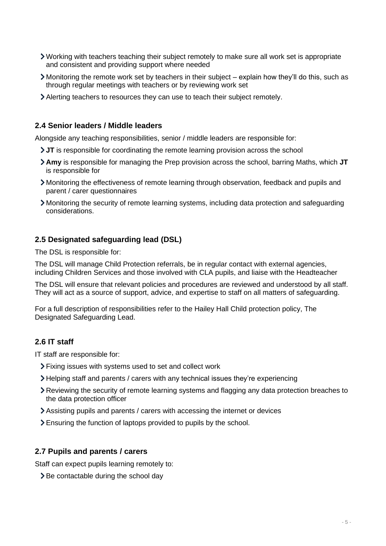- Working with teachers teaching their subject remotely to make sure all work set is appropriate and consistent and providing support where needed
- Monitoring the remote work set by teachers in their subject explain how they'll do this, such as through regular meetings with teachers or by reviewing work set
- Alerting teachers to resources they can use to teach their subject remotely.

#### **2.4 Senior leaders / Middle leaders**

Alongside any teaching responsibilities, senior / middle leaders are responsible for:

- **JT** is responsible for coordinating the remote learning provision across the school
- **Amy** is responsible for managing the Prep provision across the school, barring Maths, which **JT** is responsible for
- Monitoring the effectiveness of remote learning through observation, feedback and pupils and parent / carer questionnaires
- Monitoring the security of remote learning systems, including data protection and safeguarding considerations.

#### **2.5 Designated safeguarding lead (DSL)**

The DSL is responsible for:

The DSL will manage Child Protection referrals, be in regular contact with external agencies, including Children Services and those involved with CLA pupils, and liaise with the Headteacher

The DSL will ensure that relevant policies and procedures are reviewed and understood by all staff. They will act as a source of support, advice, and expertise to staff on all matters of safeguarding.

For a full description of responsibilities refer to the Hailey Hall Child protection policy, The Designated Safeguarding Lead.

#### **2.6 IT staff**

IT staff are responsible for:

- Fixing issues with systems used to set and collect work
- Helping staff and parents / carers with any technical issues they're experiencing
- Reviewing the security of remote learning systems and flagging any data protection breaches to the data protection officer
- Assisting pupils and parents / carers with accessing the internet or devices
- Ensuring the function of laptops provided to pupils by the school.

#### **2.7 Pupils and parents / carers**

Staff can expect pupils learning remotely to:

 $\geq$  Be contactable during the school day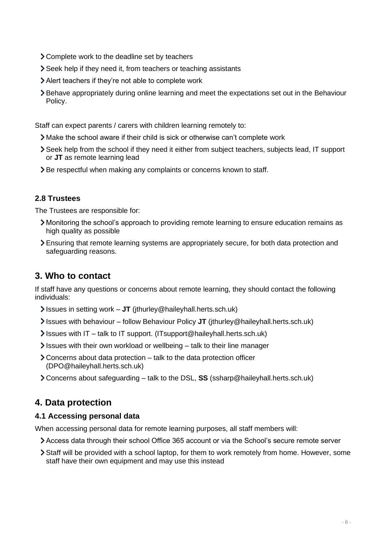- Complete work to the deadline set by teachers
- Seek help if they need it, from teachers or teaching assistants
- Alert teachers if they're not able to complete work
- Behave appropriately during online learning and meet the expectations set out in the Behaviour Policy.

Staff can expect parents / carers with children learning remotely to:

- Make the school aware if their child is sick or otherwise can't complete work
- Seek help from the school if they need it either from subject teachers, subjects lead, IT support or **JT** as remote learning lead
- > Be respectful when making any complaints or concerns known to staff.

#### **2.8 Trustees**

The Trustees are responsible for:

- Monitoring the school's approach to providing remote learning to ensure education remains as high quality as possible
- Ensuring that remote learning systems are appropriately secure, for both data protection and safeguarding reasons.

## <span id="page-5-0"></span>**3. Who to contact**

If staff have any questions or concerns about remote learning, they should contact the following individuals:

- Issues in setting work **JT** (jthurley@haileyhall.herts.sch.uk)
- Issues with behaviour follow Behaviour Policy **JT** (jthurley@haileyhall.herts.sch.uk)
- Issues with IT talk to IT support. (ITsupport@haileyhall.herts.sch.uk)
- $\ge$  Issues with their own workload or wellbeing talk to their line manager
- $\geq$  Concerns about data protection talk to the data protection officer (DPO@haileyhall.herts.sch.uk)
- Concerns about safeguarding talk to the DSL, **SS** (ssharp@haileyhall.herts.sch.uk)

## <span id="page-5-1"></span>**4. Data protection**

#### **4.1 Accessing personal data**

When accessing personal data for remote learning purposes, all staff members will:

- Access data through their school Office 365 account or via the School's secure remote server
- Staff will be provided with a school laptop, for them to work remotely from home. However, some staff have their own equipment and may use this instead